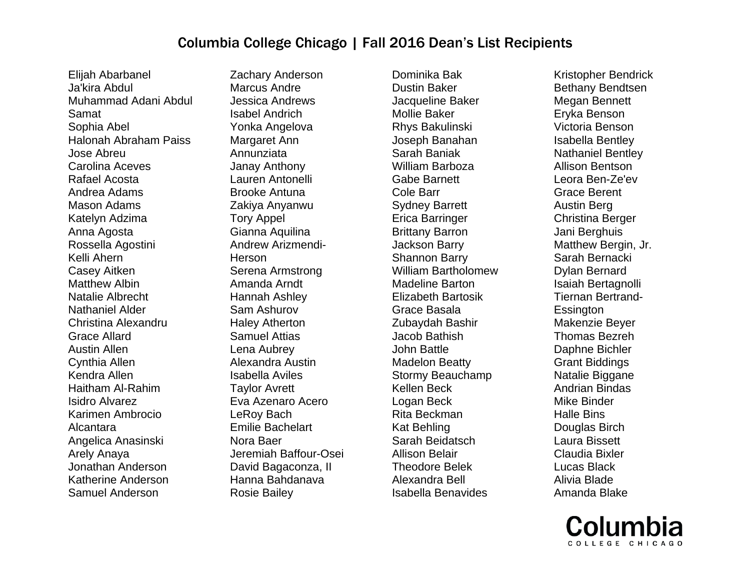Elijah Abarbanel Ja'kira Abdul Muhammad Adani Abdul Samat Sophia Abel Halonah Abraham Paiss Jose Abreu Carolina Aceves Rafael Acosta Andrea Adams Mason Adams Katelyn Adzima Anna Agosta Rossella Agostini Kelli Ahern Casey Aitken Matthew Albin Natalie Albrecht Nathaniel Alder Christina Alexandru Grace Allard Austin Allen Cynthia Allen Kendra Allen Haitham Al-Rahim Isidro Alvarez Karimen Ambrocio Alcantara Angelica Anasinski Arely Anaya Jonathan Anderson Katherine Anderson Samuel Anderson

Zachary Anderson Marcus Andre Jessica Andrews Isabel Andrich Yonka Angelova Margaret Ann Annunziata Janay Anthony Lauren Antonelli Brooke Antuna Zakiya Anyanwu Tory Appel Gianna Aquilina Andrew Arizmendi-Herson Serena Armstrong Amanda Arndt Hannah Ashley Sam Ashurov Haley Atherton Samuel Attias Lena Aubrey Alexandra Austin Isabella Aviles Taylor Avrett Eva Azenaro Acero LeRoy Bach Emilie Bachelart Nora Baer Jeremiah Baffour-Osei David Bagaconza, II Hanna Bahdanava Rosie Bailey

Dominika Bak Dustin Baker Jacqueline Baker Mollie Baker Rhys Bakulinski Joseph Banahan Sarah Baniak William Barboza Gabe Barnett Cole Barr Sydney Barrett Erica Barringer Brittany Barron Jackson Barry Shannon Barry William Bartholomew Madeline Barton Elizabeth Bartosik Grace Basala Zubaydah Bashir Jacob Bathish John Battle Madelon Beatty Stormy Beauchamp Kellen Beck Logan Beck Rita Beckman Kat Behling Sarah Beidatsch Allison Belair Theodore Belek Alexandra Bell Isabella Benavides

Kristopher Bendrick Bethany Bendtsen Megan Bennett Eryka Benson Victoria Benson Isabella Bentley Nathaniel Bentley Allison Bentson Leora Ben-Ze'ev Grace Berent Austin Berg Christina Berger Jani Berghuis Matthew Bergin, Jr. Sarah Bernacki Dylan Bernard Isaiah Bertagnolli Tiernan Bertrand-**Essington** Makenzie Beyer Thomas Bezreh Daphne Bichler Grant Biddings Natalie Biggane Andrian Bindas Mike Binder Halle Bins Douglas Birch Laura Bissett Claudia Bixler Lucas Black Alivia Blade Amanda Blake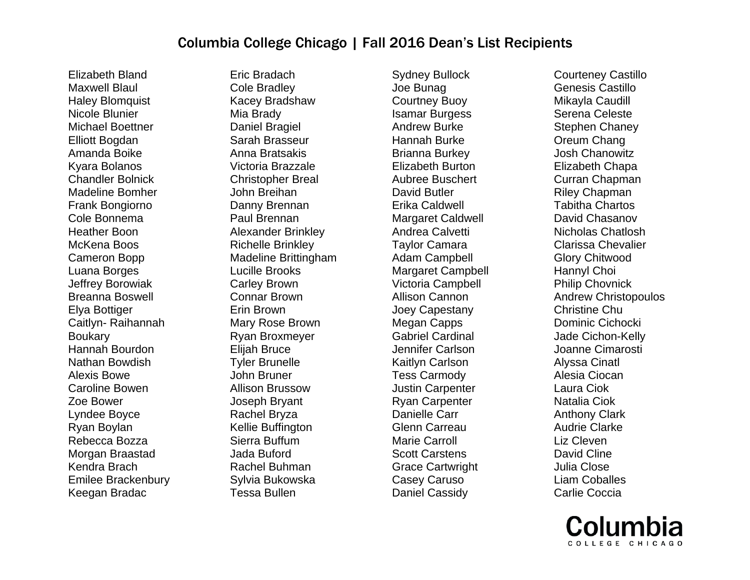Elizabeth Bland Maxwell Blaul Haley Blomquist Nicole Blunier Michael Boettner Elliott Bogdan Amanda Boike Kyara Bolanos Chandler Bolnick Madeline Bomher Frank Bongiorno Cole Bonnema Heather Boon McKena Boos Cameron Bopp Luana Borges Jeffrey Borowiak Breanna Boswell Elya Bottiger Caitlyn- Raihannah Boukary Hannah Bourdon Nathan Bowdish Alexis Bowe Caroline Bowen Zoe Bower Lyndee Boyce Ryan Boylan Rebecca Bozza Morgan Braastad Kendra Brach Emilee Brackenbury Keegan Bradac

Eric Bradach Cole Bradley Kacey Bradshaw Mia Brady Daniel Bragiel Sarah Brasseur Anna Bratsakis Victoria Brazzale Christopher Breal John Breihan Danny Brennan Paul Brennan Alexander Brinkley Richelle Brinkley Madeline Brittingham Lucille Brooks Carley Brown Connar Brown Erin Brown Mary Rose Brown Ryan Broxmeyer Elijah Bruce Tyler Brunelle John Bruner Allison Brussow Joseph Bryant Rachel Bryza Kellie Buffington Sierra Buffum Jada Buford Rachel Buhman Sylvia Bukowska Tessa Bullen

Sydney Bullock Joe Bunag Courtney Buoy Isamar Burgess Andrew Burke Hannah Burke Brianna Burkey Elizabeth Burton Aubree Buschert David Butler Erika Caldwell Margaret Caldwell Andrea Calvetti Taylor Camara Adam Campbell Margaret Campbell Victoria Campbell Allison Cannon Joey Capestany Megan Capps Gabriel Cardinal Jennifer Carlson Kaitlyn Carlson Tess Carmody Justin Carpenter Ryan Carpenter Danielle Carr Glenn Carreau Marie Carroll Scott Carstens Grace Cartwright Casey Caruso Daniel Cassidy

Courteney Castillo Genesis Castillo Mikayla Caudill Serena Celeste Stephen Chaney Oreum Chang Josh Chanowitz Elizabeth Chapa Curran Chapman Riley Chapman Tabitha Chartos David Chasanov Nicholas Chatlosh Clarissa Chevalier Glory Chitwood Hannyl Choi Philip Chovnick Andrew Christopoulos Christine Chu Dominic Cichocki Jade Cichon-Kelly Joanne Cimarosti Alyssa Cinatl Alesia Ciocan Laura Ciok Natalia Ciok Anthony Clark Audrie Clarke Liz Cleven David Cline Julia Close Liam Coballes Carlie Coccia

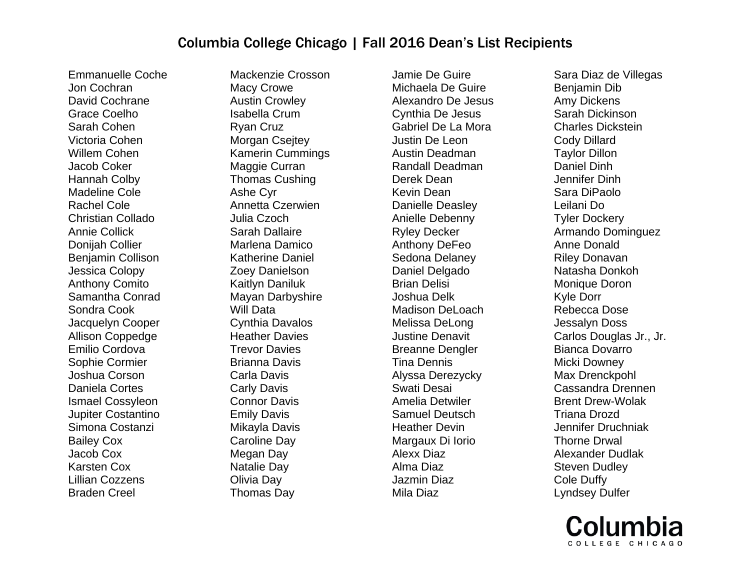Emmanuelle Coche Jon Cochran David Cochrane Grace Coelho Sarah Cohen Victoria Cohen Willem Cohen Jacob Coker Hannah Colby Madeline Cole Rachel Cole Christian Collado Annie Collick Donijah Collier Benjamin Collison Jessica Colopy Anthony Comito Samantha Conrad Sondra Cook Jacquelyn Cooper Allison Coppedge Emilio Cordova Sophie Cormier Joshua Corson Daniela Cortes Ismael Cossyleon Jupiter Costantino Simona Costanzi Bailey Cox Jacob Cox Karsten Cox Lillian Cozzens Braden Creel

Mackenzie Crosson Macy Crowe Austin Crowley Isabella Crum Ryan Cruz Morgan Csejtey Kamerin Cummings Maggie Curran Thomas Cushing Ashe Cyr Annetta Czerwien Julia Czoch Sarah Dallaire Marlena Damico Katherine Daniel Zoey Danielson Kaitlyn Daniluk Mayan Darbyshire Will Data Cynthia Davalos Heather Davies Trevor Davies Brianna Davis Carla Davis Carly Davis Connor Davis Emily Davis Mikayla Davis Caroline Day Megan Day Natalie Day Olivia Day Thomas Day

Jamie De Guire Michaela De Guire Alexandro De Jesus Cynthia De Jesus Gabriel De La Mora Justin De Leon Austin Deadman Randall Deadman Derek Dean Kevin Dean Danielle Deasley Anielle Debenny Ryley Decker Anthony DeFeo Sedona Delaney Daniel Delgado Brian Delisi Joshua Delk Madison DeLoach Melissa DeLong Justine Denavit Breanne Dengler Tina Dennis Alyssa Derezycky Swati Desai Amelia Detwiler Samuel Deutsch Heather Devin Margaux Di Iorio Alexx Diaz Alma Diaz Jazmin Diaz Mila Diaz

Sara Diaz de Villegas Benjamin Dib Amy Dickens Sarah Dickinson Charles Dickstein Cody Dillard Taylor Dillon Daniel Dinh Jennifer Dinh Sara DiPaolo Leilani Do Tyler Dockery Armando Dominguez Anne Donald Riley Donavan Natasha Donkoh Monique Doron Kyle Dorr Rebecca Dose Jessalyn Doss Carlos Douglas Jr., Jr. Bianca Dovarro Micki Downey Max Drenckpohl Cassandra Drennen Brent Drew-Wolak Triana Drozd Jennifer Druchniak Thorne Drwal Alexander Dudlak Steven Dudley Cole Duffy Lyndsey Dulfer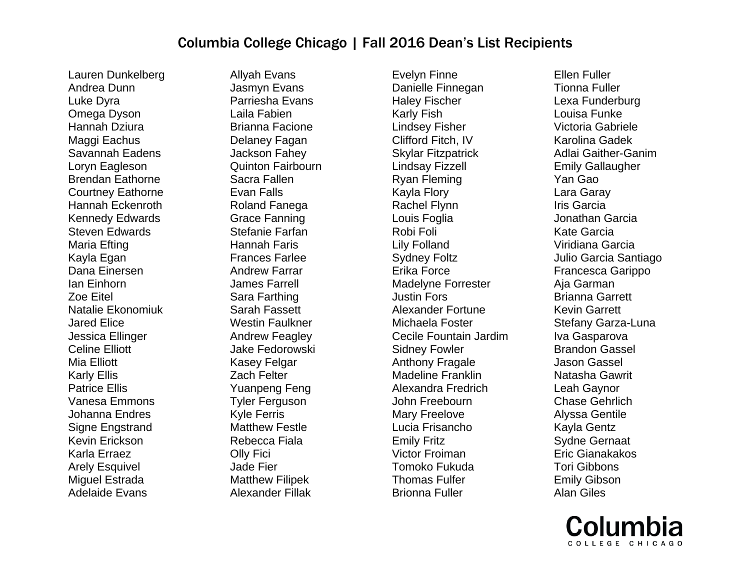Lauren Dunkelberg Andrea Dunn Luke Dyra Omega Dyson Hannah Dziura Maggi Eachus Savannah Eadens Loryn Eagleson Brendan Eathorne Courtney Eathorne Hannah Eckenroth Kennedy Edwards Steven Edwards Maria Efting Kayla Egan Dana Einersen Ian Einhorn Zoe Eitel Natalie Ekonomiuk Jared Elice Jessica Ellinger Celine Elliott Mia Elliott Karly Ellis Patrice Ellis Vanesa Emmons Johanna Endres Signe Engstrand Kevin Erickson Karla Erraez Arely Esquivel Miguel Estrada Adelaide Evans

Allyah Evans Jasmyn Evans Parriesha Evans Laila Fabien Brianna Facione Delaney Fagan Jackson Fahey Quinton Fairbourn Sacra Fallen Evan Falls Roland Fanega Grace Fanning Stefanie Farfan Hannah Faris Frances Farlee Andrew Farrar James Farrell Sara Farthing Sarah Fassett Westin Faulkner Andrew Feagley Jake Fedorowski Kasey Felgar Zach Felter Yuanpeng Feng Tyler Ferguson Kyle Ferris Matthew Festle Rebecca Fiala Olly Fici Jade Fier Matthew Filipek Alexander Fillak

Evelyn Finne Danielle Finnegan Haley Fischer Karly Fish Lindsey Fisher Clifford Fitch, IV Skylar Fitzpatrick Lindsay Fizzell Ryan Fleming Kayla Flory Rachel Flynn Louis Foglia Robi Foli Lily Folland Sydney Foltz Erika Force Madelyne Forrester Justin Fors Alexander Fortune Michaela Foster Cecile Fountain Jardim Sidney Fowler Anthony Fragale Madeline Franklin Alexandra Fredrich John Freebourn Mary Freelove Lucia Frisancho Emily Fritz Victor Froiman Tomoko Fukuda Thomas Fulfer Brionna Fuller

Ellen Fuller Tionna Fuller Lexa Funderburg Louisa Funke Victoria Gabriele Karolina Gadek Adlai Gaither-Ganim Emily Gallaugher Yan Gao Lara Garay Iris Garcia Jonathan Garcia Kate Garcia Viridiana Garcia Julio Garcia Santiago Francesca Garippo Aja Garman Brianna Garrett Kevin Garrett Stefany Garza-Luna Iva Gasparova Brandon Gassel Jason Gassel Natasha Gawrit Leah Gaynor Chase Gehrlich Alyssa Gentile Kayla Gentz Sydne Gernaat Eric Gianakakos Tori Gibbons Emily Gibson Alan Giles

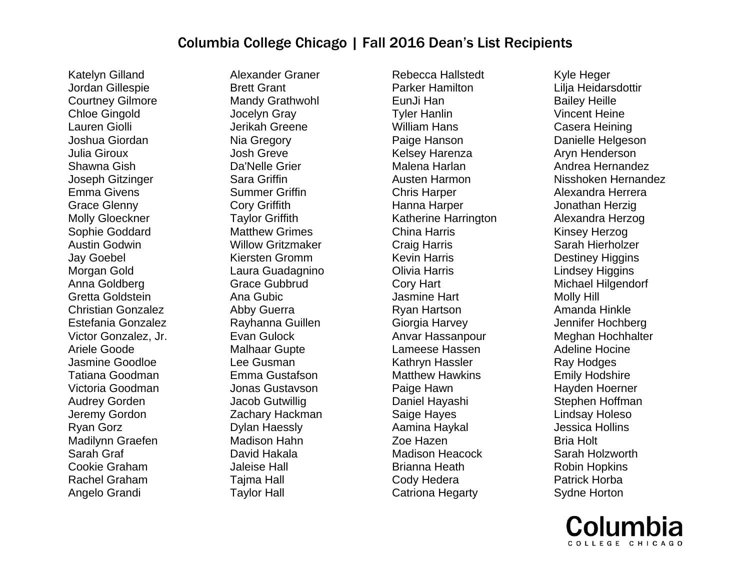Katelyn Gilland Jordan Gillespie Courtney Gilmore Chloe Gingold Lauren Giolli Joshua Giordan Julia Giroux Shawna Gish Joseph Gitzinger Emma Givens Grace Glenny Molly Gloeckner Sophie Goddard Austin Godwin Jay Goebel Morgan Gold Anna Goldberg Gretta Goldstein Christian Gonzalez Estefania Gonzalez Victor Gonzalez, Jr. Ariele Goode Jasmine Goodloe Tatiana Goodman Victoria Goodman Audrey Gorden Jeremy Gordon Ryan Gorz Madilynn Graefen Sarah Graf Cookie Graham Rachel Graham Angelo Grandi

Alexander Graner Brett Grant Mandy Grathwohl Jocelyn Gray Jerikah Greene Nia Gregory Josh Greve Da'Nelle Grier Sara Griffin Summer Griffin Cory Griffith Taylor Griffith Matthew Grimes Willow Gritzmaker Kiersten Gromm Laura Guadagnino Grace Gubbrud Ana Gubic Abby Guerra Rayhanna Guillen Evan Gulock Malhaar Gupte Lee Gusman Emma Gustafson Jonas Gustavson Jacob Gutwillig Zachary Hackman Dylan Haessly Madison Hahn David Hakala Jaleise Hall Tajma Hall Taylor Hall

Rebecca Hallstedt Parker Hamilton EunJi Han Tyler Hanlin William Hans Paige Hanson Kelsey Harenza Malena Harlan Austen Harmon Chris Harper Hanna Harper Katherine Harrington China Harris Craig Harris Kevin Harris Olivia Harris Cory Hart Jasmine Hart Ryan Hartson Giorgia Harvey Anvar Hassanpour Lameese Hassen Kathryn Hassler Matthew Hawkins Paige Hawn Daniel Hayashi Saige Hayes Aamina Haykal Zoe Hazen Madison Heacock Brianna Heath Cody Hedera Catriona Hegarty

Kyle Heger Lilja Heidarsdottir Bailey Heille Vincent Heine Casera Heining Danielle Helgeson Aryn Henderson Andrea Hernandez Nisshoken Hernandez Alexandra Herrera Jonathan Herzig Alexandra Herzog Kinsey Herzog Sarah Hierholzer Destiney Higgins Lindsey Higgins Michael Hilgendorf Molly Hill Amanda Hinkle Jennifer Hochberg Meghan Hochhalter Adeline Hocine Ray Hodges Emily Hodshire Hayden Hoerner Stephen Hoffman Lindsay Holeso Jessica Hollins Bria Holt Sarah Holzworth Robin Hopkins Patrick Horba Sydne Horton

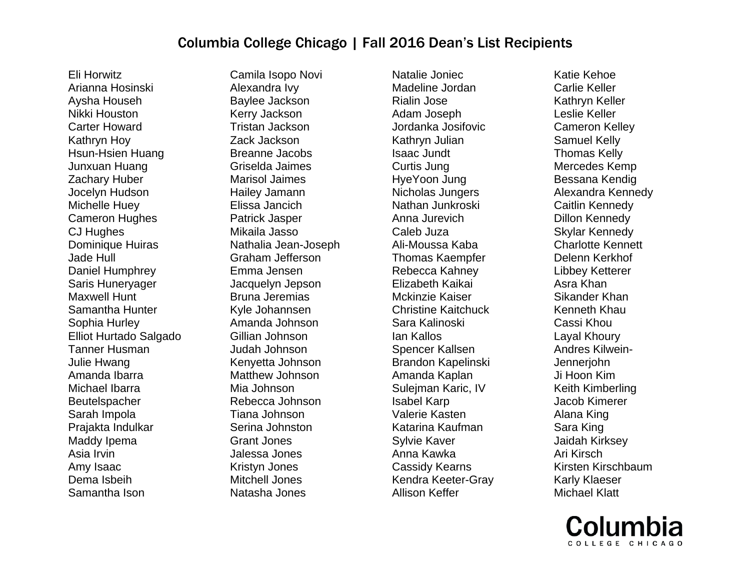Eli Horwitz Arianna Hosinski Aysha Househ Nikki Houston Carter Howard Kathryn Hoy Hsun-Hsien Huang Junxuan Huang Zachary Huber Jocelyn Hudson Michelle Huey Cameron Hughes CJ Hughes Dominique Huiras Jade Hull Daniel Humphrey Saris Huneryager Maxwell Hunt Samantha Hunter Sophia Hurley Elliot Hurtado Salgado Tanner Husman Julie Hwang Amanda Ibarra Michael Ibarra Beutelspacher Sarah Impola Prajakta Indulkar Maddy Ipema Asia Irvin Amy Isaac Dema Isbeih Samantha Ison

Camila Isopo Novi Alexandra Ivy Baylee Jackson Kerry Jackson Tristan Jackson Zack Jackson Breanne Jacobs Griselda Jaimes Marisol Jaimes Hailey Jamann Elissa Jancich Patrick Jasper Mikaila Jasso Nathalia Jean-Joseph Graham Jefferson Emma Jensen Jacquelyn Jepson Bruna Jeremias Kyle Johannsen Amanda Johnson Gillian Johnson Judah Johnson Kenyetta Johnson Matthew Johnson Mia Johnson Rebecca Johnson Tiana Johnson Serina Johnston Grant Jones Jalessa Jones Kristyn Jones Mitchell Jones Natasha Jones

Natalie Joniec Madeline Jordan Rialin Jose Adam Joseph Jordanka Josifovic Kathryn Julian Isaac Jundt Curtis Jung HyeYoon Jung Nicholas Jungers Nathan Junkroski Anna Jurevich Caleb Juza Ali-Moussa Kaba Thomas Kaempfer Rebecca Kahney Elizabeth Kaikai Mckinzie Kaiser Christine Kaitchuck Sara Kalinoski Ian Kallos Spencer Kallsen Brandon Kapelinski Amanda Kaplan Sulejman Karic, IV Isabel Karp Valerie Kasten Katarina Kaufman Sylvie Kaver Anna Kawka Cassidy Kearns Kendra Keeter-Gray Allison Keffer

Katie Kehoe Carlie Keller Kathryn Keller Leslie Keller Cameron Kelley Samuel Kelly Thomas Kelly Mercedes Kemp Bessana Kendig Alexandra Kennedy Caitlin Kennedy Dillon Kennedy Skylar Kennedy Charlotte Kennett Delenn Kerkhof Libbey Ketterer Asra Khan Sikander Khan Kenneth Khau Cassi Khou Layal Khoury Andres Kilwein-Jennerjohn Ji Hoon Kim Keith Kimberling Jacob Kimerer Alana King Sara King Jaidah Kirksey Ari Kirsch Kirsten Kirschbaum Karly Klaeser Michael Klatt

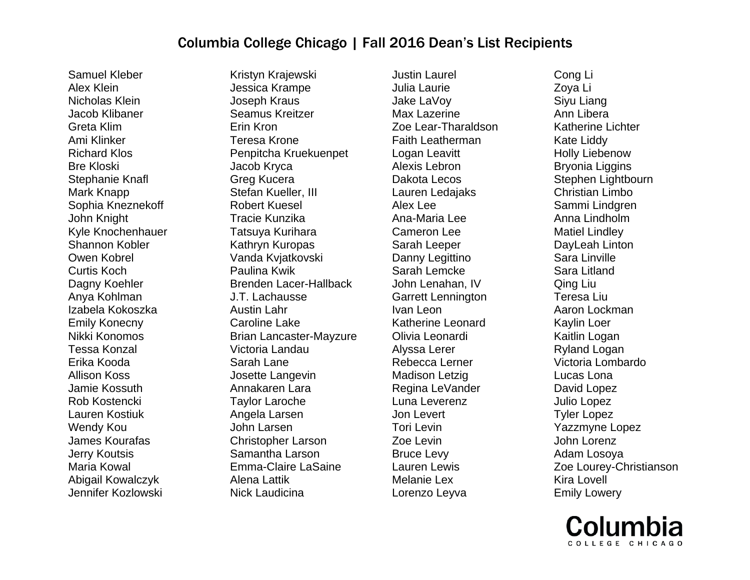Samuel Kleber Alex Klein Nicholas Klein Jacob Klibaner Greta Klim Ami Klinker Richard Klos Bre Kloski Stephanie Knafl Mark Knapp Sophia Kneznekoff John Knight Kyle Knochenhauer Shannon Kobler Owen Kobrel Curtis Koch Dagny Koehler Anya Kohlman Izabela Kokoszka Emily Konecny Nikki Konomos Tessa Konzal Erika Kooda Allison Koss Jamie Kossuth Rob Kostencki Lauren Kostiuk Wendy Kou James Kourafas Jerry Koutsis Maria Kowal Abigail Kowalczyk Jennifer Kozlowski

Kristyn Krajewski Jessica Krampe Joseph Kraus Seamus Kreitzer Erin Kron Teresa Krone Penpitcha Kruekuenpet Jacob Kryca Greg Kucera Stefan Kueller, III Robert Kuesel Tracie Kunzika Tatsuya Kurihara Kathryn Kuropas Vanda Kvjatkovski Paulina Kwik Brenden Lacer-Hallback J.T. Lachausse Austin Lahr Caroline Lake Brian Lancaster-Mayzure Victoria Landau Sarah Lane Josette Langevin Annakaren Lara Taylor Laroche Angela Larsen John Larsen Christopher Larson Samantha Larson Emma-Claire LaSaine Alena Lattik Nick Laudicina

Justin Laurel Julia Laurie Jake LaVoy Max Lazerine Zoe Lear-Tharaldson Faith Leatherman Logan Leavitt Alexis Lebron Dakota Lecos Lauren Ledajaks Alex Lee Ana-Maria Lee Cameron Lee Sarah Leeper Danny Legittino Sarah Lemcke John Lenahan, IV Garrett Lennington Ivan Leon Katherine Leonard Olivia Leonardi Alyssa Lerer Rebecca Lerner Madison Letzig Regina LeVander Luna Leverenz Jon Levert Tori Levin Zoe Levin Bruce Levy Lauren Lewis Melanie Lex Lorenzo Leyva

Cong Li Zoya Li Siyu Liang Ann Libera Katherine Lichter Kate Liddy Holly Liebenow Bryonia Liggins Stephen Lightbourn Christian Limbo Sammi Lindgren Anna Lindholm Matiel Lindley DayLeah Linton Sara Linville Sara Litland Qing Liu Teresa Liu Aaron Lockman Kaylin Loer Kaitlin Logan Ryland Logan Victoria Lombardo Lucas Lona David Lopez Julio Lopez Tyler Lopez Yazzmyne Lopez John Lorenz Adam Losoya Zoe Lourey-Christianson Kira Lovell Emily Lowery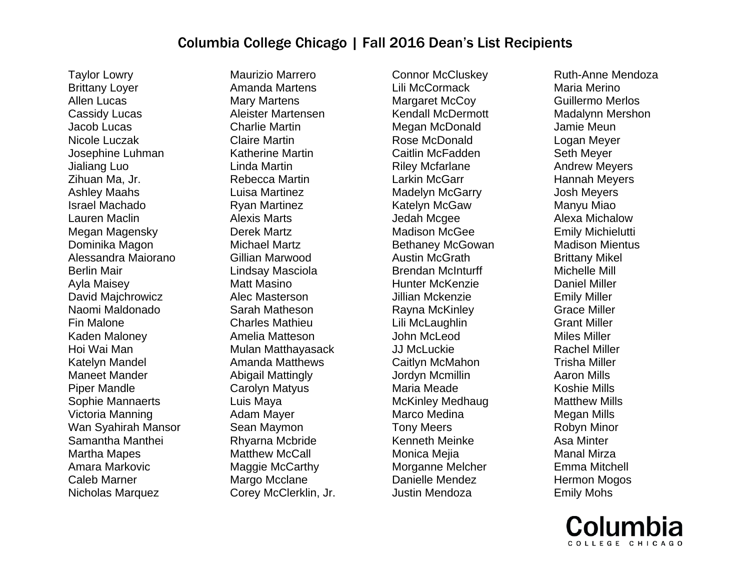Taylor Lowry Brittany Loyer Allen Lucas Cassidy Lucas Jacob Lucas Nicole Luczak Josephine Luhman Jialiang Luo Zihuan Ma, Jr. Ashley Maahs Israel Machado Lauren Maclin Megan Magensky Dominika Magon Alessandra Maiorano Berlin Mair Ayla Maisey David Majchrowicz Naomi Maldonado Fin Malone Kaden Maloney Hoi Wai Man Katelyn Mandel Maneet Mander Piper Mandle Sophie Mannaerts Victoria Manning Wan Syahirah Mansor Samantha Manthei Martha Mapes Amara Markovic Caleb Marner Nicholas Marquez

Maurizio Marrero Amanda Martens Mary Martens Aleister Martensen Charlie Martin Claire Martin Katherine Martin Linda Martin Rebecca Martin Luisa Martinez Ryan Martinez Alexis Marts Derek Martz Michael Martz Gillian Marwood Lindsay Masciola Matt Masino Alec Masterson Sarah Matheson Charles Mathieu Amelia Matteson Mulan Matthayasack Amanda Matthews Abigail Mattingly Carolyn Matyus Luis Maya Adam Mayer Sean Maymon Rhyarna Mcbride Matthew McCall Maggie McCarthy Margo Mcclane Corey McClerklin, Jr.

Connor McCluskey Lili McCormack Margaret McCoy Kendall McDermott Megan McDonald Rose McDonald Caitlin McFadden Riley Mcfarlane Larkin McGarr Madelyn McGarry Katelyn McGaw Jedah Mcgee Madison McGee Bethaney McGowan Austin McGrath Brendan McInturff Hunter McKenzie Jillian Mckenzie Rayna McKinley Lili McLaughlin John McLeod JJ McLuckie Caitlyn McMahon Jordyn Mcmillin Maria Meade McKinley Medhaug Marco Medina Tony Meers Kenneth Meinke Monica Mejia Morganne Melcher Danielle Mendez Justin Mendoza

Ruth-Anne Mendoza Maria Merino Guillermo Merlos Madalynn Mershon Jamie Meun Logan Meyer Seth Meyer Andrew Meyers Hannah Meyers Josh Meyers Manyu Miao Alexa Michalow Emily Michielutti Madison Mientus Brittany Mikel Michelle Mill Daniel Miller Emily Miller Grace Miller Grant Miller Miles Miller Rachel Miller Trisha Miller Aaron Mills Koshie Mills Matthew Mills Megan Mills Robyn Minor Asa Minter Manal Mirza Emma Mitchell Hermon Mogos Emily Mohs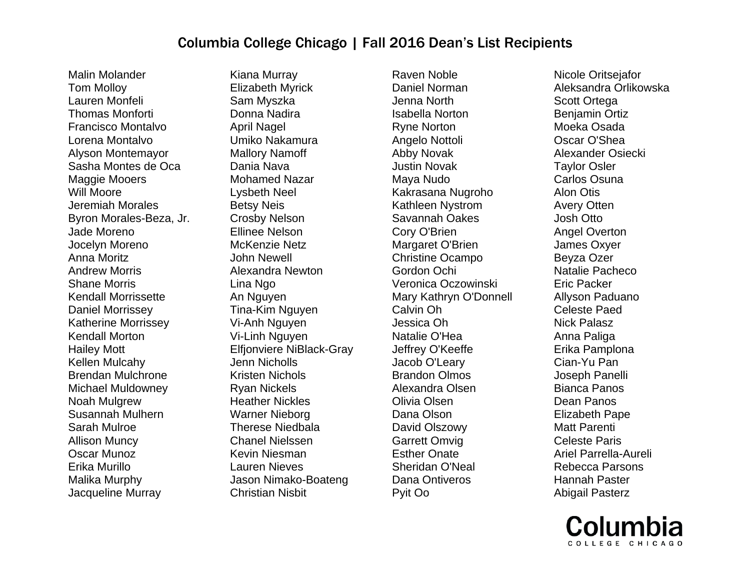Malin Molander Tom Molloy Lauren Monfeli Thomas Monforti Francisco Montalvo Lorena Montalvo Alyson Montemayor Sasha Montes de Oca Maggie Mooers Will Moore Jeremiah Morales Byron Morales-Beza, Jr. Jade Moreno Jocelyn Moreno Anna Moritz Andrew Morris Shane Morris Kendall Morrissette Daniel Morrissey Katherine Morrissey Kendall Morton Hailey Mott Kellen Mulcahy Brendan Mulchrone Michael Muldowney Noah Mulgrew Susannah Mulhern Sarah Mulroe Allison Muncy Oscar Munoz Erika Murillo Malika Murphy Jacqueline Murray

Kiana Murray Elizabeth Myrick Sam Myszka Donna Nadira April Nagel Umiko Nakamura Mallory Namoff Dania Nava Mohamed Nazar Lysbeth Neel Betsy Neis Crosby Nelson Ellinee Nelson McKenzie Netz John Newell Alexandra Newton Lina Ngo An Nguyen Tina-Kim Nguyen Vi-Anh Nguyen Vi-Linh Nguyen Elfjonviere NiBlack-Gray Jenn Nicholls Kristen Nichols Ryan Nickels Heather Nickles Warner Nieborg Therese Niedbala Chanel Nielssen Kevin Niesman Lauren Nieves Jason Nimako-Boateng Christian Nisbit

Raven Noble Daniel Norman Jenna North Isabella Norton Ryne Norton Angelo Nottoli Abby Novak Justin Novak Maya Nudo Kakrasana Nugroho Kathleen Nystrom Savannah Oakes Cory O'Brien Margaret O'Brien Christine Ocampo Gordon Ochi Veronica Oczowinski Mary Kathryn O'Donnell Calvin Oh Jessica Oh Natalie O'Hea Jeffrey O'Keeffe Jacob O'Leary Brandon Olmos Alexandra Olsen Olivia Olsen Dana Olson David Olszowy Garrett Omvig Esther Onate Sheridan O'Neal Dana Ontiveros Pyit Oo

Nicole Oritsejafor Aleksandra Orlikowska Scott Ortega Benjamin Ortiz Moeka Osada Oscar O'Shea Alexander Osiecki Taylor Osler Carlos Osuna Alon Otis Avery Otten Josh Otto Angel Overton James Oxyer Beyza Ozer Natalie Pacheco Eric Packer Allyson Paduano Celeste Paed Nick Palasz Anna Paliga Erika Pamplona Cian-Yu Pan Joseph Panelli Bianca Panos Dean Panos Elizabeth Pape Matt Parenti Celeste Paris Ariel Parrella-Aureli Rebecca Parsons Hannah Paster Abigail Pasterz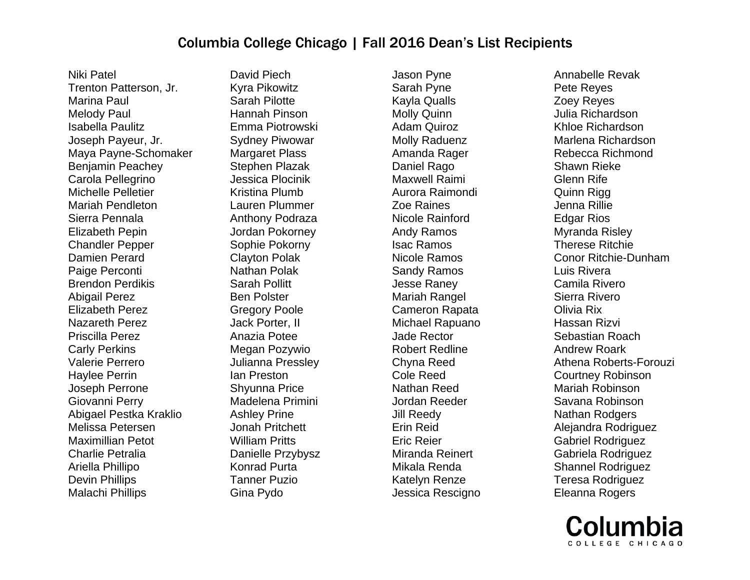Niki Patel Trenton Patterson, Jr. Marina Paul Melody Paul Isabella Paulitz Joseph Payeur, Jr. Maya Payne-Schomaker Benjamin Peachey Carola Pellegrino Michelle Pelletier Mariah Pendleton Sierra Pennala Elizabeth Pepin Chandler Pepper Damien Perard Paige Perconti Brendon Perdikis Abigail Perez Elizabeth Perez Nazareth Perez Priscilla Perez Carly Perkins Valerie Perrero Haylee Perrin Joseph Perrone Giovanni Perry Abigael Pestka Kraklio Melissa Petersen Maximillian Petot Charlie Petralia Ariella Phillipo Devin Phillips Malachi Phillips

David Piech Kyra Pikowitz Sarah Pilotte Hannah Pinson Emma Piotrowski Sydney Piwowar Margaret Plass Stephen Plazak Jessica Plocinik Kristina Plumb Lauren Plummer Anthony Podraza Jordan Pokorney Sophie Pokorny Clayton Polak Nathan Polak Sarah Pollitt Ben Polster Gregory Poole Jack Porter, II Anazia Potee Megan Pozywio Julianna Pressley Ian Preston Shyunna Price Madelena Primini Ashley Prine Jonah Pritchett William Pritts Danielle Przybysz Konrad Purta Tanner Puzio Gina Pydo

Jason Pyne Sarah Pyne Kayla Qualls Molly Quinn Adam Quiroz Molly Raduenz Amanda Rager Daniel Rago Maxwell Raimi Aurora Raimondi Zoe Raines Nicole Rainford Andy Ramos Isac Ramos Nicole Ramos Sandy Ramos Jesse Raney Mariah Rangel Cameron Rapata Michael Rapuano Jade Rector Robert Redline Chyna Reed Cole Reed Nathan Reed Jordan Reeder Jill Reedy Erin Reid Eric Reier Miranda Reinert Mikala Renda Katelyn Renze Jessica Rescigno Annabelle Revak Pete Reyes Zoey Reyes Julia Richardson Khloe Richardson Marlena Richardson Rebecca Richmond Shawn Rieke Glenn Rife Quinn Rigg Jenna Rillie Edgar Rios Myranda Risley Therese Ritchie Conor Ritchie-Dunham Luis Rivera Camila Rivero Sierra Rivero Olivia Rix Hassan Rizvi Sebastian Roach Andrew Roark Athena Roberts-Forouzi Courtney Robinson Mariah Robinson Savana Robinson Nathan Rodgers Alejandra Rodriguez Gabriel Rodriguez Gabriela Rodriguez Shannel Rodriguez Teresa Rodriguez Eleanna Rogers

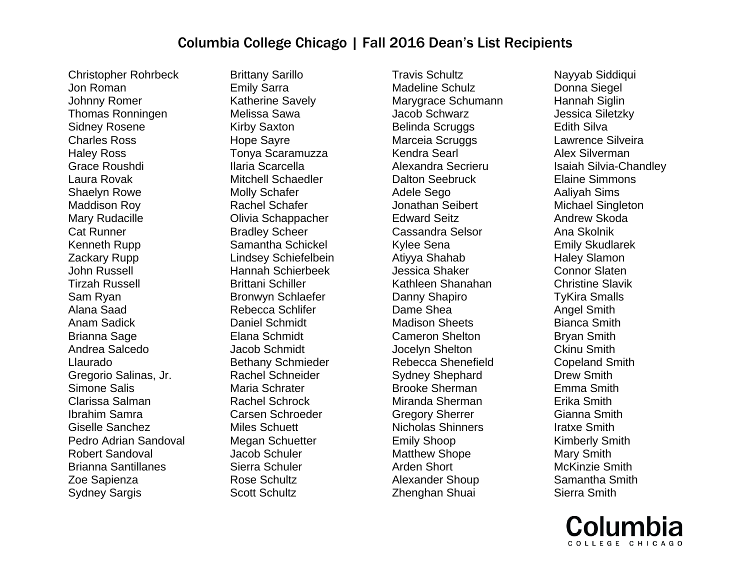Christopher Rohrbeck Jon Roman Johnny Romer Thomas Ronningen Sidney Rosene Charles Ross Haley Ross Grace Roushdi Laura Rovak Shaelyn Rowe Maddison Roy Mary Rudacille Cat Runner Kenneth Rupp Zackary Rupp John Russell Tirzah Russell Sam Ryan Alana Saad Anam Sadick Brianna Sage Andrea Salcedo Llaurado Gregorio Salinas, Jr. Simone Salis Clarissa Salman Ibrahim Samra Giselle Sanchez Pedro Adrian Sandoval Robert Sandoval Brianna Santillanes Zoe Sapienza Sydney Sargis

Brittany Sarillo Emily Sarra Katherine Savely Melissa Sawa Kirby Saxton Hope Sayre Tonya Scaramuzza Ilaria Scarcella Mitchell Schaedler Molly Schafer Rachel Schafer Olivia Schappacher Bradley Scheer Samantha Schickel Lindsey Schiefelbein Hannah Schierbeek Brittani Schiller Bronwyn Schlaefer Rebecca Schlifer Daniel Schmidt Elana Schmidt Jacob Schmidt Bethany Schmieder Rachel Schneider Maria Schrater Rachel Schrock Carsen Schroeder Miles Schuett Megan Schuetter Jacob Schuler Sierra Schuler Rose Schultz Scott Schultz

Travis Schultz Madeline Schulz Marygrace Schumann Jacob Schwarz Belinda Scruggs Marceia Scruggs Kendra Searl Alexandra Secrieru Dalton Seebruck Adele Sego Jonathan Seibert Edward Seitz Cassandra Selsor Kylee Sena Atiyya Shahab Jessica Shaker Kathleen Shanahan Danny Shapiro Dame Shea Madison Sheets Cameron Shelton Jocelyn Shelton Rebecca Shenefield Sydney Shephard Brooke Sherman Miranda Sherman Gregory Sherrer Nicholas Shinners Emily Shoop Matthew Shope Arden Short Alexander Shoup Zhenghan Shuai

Nayyab Siddiqui Donna Siegel Hannah Siglin Jessica Siletzky Edith Silva Lawrence Silveira Alex Silverman Isaiah Silvia-Chandley Elaine Simmons Aaliyah Sims Michael Singleton Andrew Skoda Ana Skolnik Emily Skudlarek Haley Slamon Connor Slaten Christine Slavik TyKira Smalls Angel Smith Bianca Smith Bryan Smith Ckinu Smith Copeland Smith Drew Smith Emma Smith Erika Smith Gianna Smith Iratxe Smith Kimberly Smith Mary Smith McKinzie Smith Samantha Smith Sierra Smith

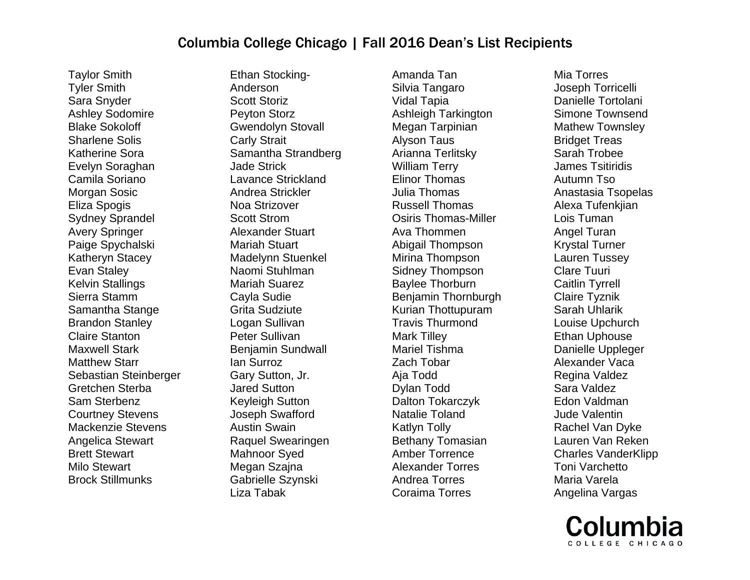Taylor Smith Tyler Smith Sara Snyder Ashley Sodomire Blake Sokoloff Sharlene Solis Katherine Sora Evelyn Soraghan Camila Soriano Morgan Sosic Eliza Spogis Sydney Sprandel Avery Springer Paige Spychalski Katheryn Stacey Evan Staley Kelvin Stallings Sierra Stamm Samantha Stange Brandon Stanley Claire Stanton Maxwell Stark Matthew Starr Sebastian Steinberger Gretchen Sterba Sam Sterbenz Courtney Stevens Mackenzie Stevens Angelica Stewart Brett Stewart Milo Stewart Brock Stillmunks

Ethan Stocking-Anderson Scott Storiz Peyton Storz Gwendolyn Stovall Carly Strait Samantha Strandberg Jade Strick Lavance Strickland Andrea Strickler Noa Strizover Scott Strom Alexander Stuart Mariah Stuart Madelynn Stuenkel Naomi Stuhlman Mariah Suarez Cayla Sudie Grita Sudziute Logan Sullivan Peter Sullivan Benjamin Sundwall Ian Surroz Gary Sutton, Jr. Jared Sutton Keyleigh Sutton Joseph Swafford Austin Swain Raquel Swearingen Mahnoor Syed Megan Szajna Gabrielle Szynski Liza Tabak

Amanda Tan Silvia Tangaro Vidal Tapia Ashleigh Tarkington Megan Tarpinian Alyson Taus Arianna Terlitsky William Terry Elinor Thomas Julia Thomas Russell Thomas Osiris Thomas-Miller Ava Thommen Abigail Thompson Mirina Thompson Sidney Thompson Baylee Thorburn Benjamin Thornburgh Kurian Thottupuram Travis Thurmond Mark Tilley Mariel Tishma Zach Tobar Aja Todd Dylan Todd Dalton Tokarczyk Natalie Toland Katlyn Tolly Bethany Tomasian Amber Torrence Alexander Torres Andrea Torres Coraima Torres

Mia Torres Joseph Torricelli Danielle Tortolani Simone Townsend Mathew Townsley Bridget Treas Sarah Trobee James Tsitiridis Autumn Tso Anastasia Tsopelas Alexa Tufenkjian Lois Tuman Angel Turan Krystal Turner Lauren Tussey Clare Tuuri Caitlin Tyrrell Claire Tyznik Sarah Uhlarik Louise Upchurch Ethan Uphouse Danielle Uppleger Alexander Vaca Regina Valdez Sara Valdez Edon Valdman Jude Valentin Rachel Van Dyke Lauren Van Reken Charles VanderKlipp Toni Varchetto Maria Varela Angelina Vargas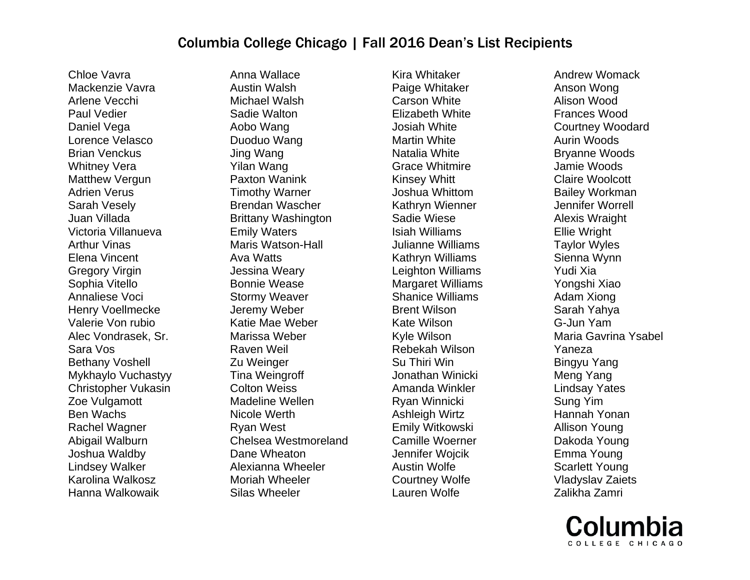Chloe Vavra Mackenzie Vavra Arlene Vecchi Paul Vedier Daniel Vega Lorence Velasco Brian Venckus Whitney Vera Matthew Vergun Adrien Verus Sarah Vesely Juan Villada Victoria Villanueva Arthur Vinas Elena Vincent Gregory Virgin Sophia Vitello Annaliese Voci Henry Voellmecke Valerie Von rubio Alec Vondrasek, Sr. Sara Vos Bethany Voshell Mykhaylo Vuchastyy Christopher Vukasin Zoe Vulgamott Ben Wachs Rachel Wagner Abigail Walburn Joshua Waldby Lindsey Walker Karolina Walkosz Hanna Walkowaik

Anna Wallace Austin Walsh Michael Walsh Sadie Walton Aobo Wang Duoduo Wang Jing Wang Yilan Wang Paxton Wanink Timothy Warner Brendan Wascher Brittany Washington Emily Waters Maris Watson-Hall Ava Watts Jessina Weary Bonnie Wease Stormy Weaver Jeremy Weber Katie Mae Weber Marissa Weber Raven Weil Zu Weinger Tina Weingroff Colton Weiss Madeline Wellen Nicole Werth Ryan West Chelsea Westmoreland Dane Wheaton Alexianna Wheeler Moriah Wheeler Silas Wheeler

Kira Whitaker Paige Whitaker Carson White Elizabeth White Josiah White Martin White Natalia White Grace Whitmire Kinsey Whitt Joshua Whittom Kathryn Wienner Sadie Wiese Isiah Williams Julianne Williams Kathryn Williams Leighton Williams Margaret Williams Shanice Williams Brent Wilson Kate Wilson Kyle Wilson Rebekah Wilson Su Thiri Win Jonathan Winicki Amanda Winkler Ryan Winnicki Ashleigh Wirtz Emily Witkowski Camille Woerner Jennifer Wojcik Austin Wolfe Courtney Wolfe Lauren Wolfe

Andrew Womack Anson Wong Alison Wood Frances Wood Courtney Woodard Aurin Woods Bryanne Woods Jamie Woods Claire Woolcott Bailey Workman Jennifer Worrell Alexis Wraight Ellie Wright Taylor Wyles Sienna Wynn Yudi Xia Yongshi Xiao Adam Xiong Sarah Yahya G-Jun Yam Maria Gavrina Ysabel Yaneza Bingyu Yang Meng Yang Lindsay Yates Sung Yim Hannah Yonan Allison Young Dakoda Young Emma Young Scarlett Young Vladyslav Zaiets Zalikha Zamri